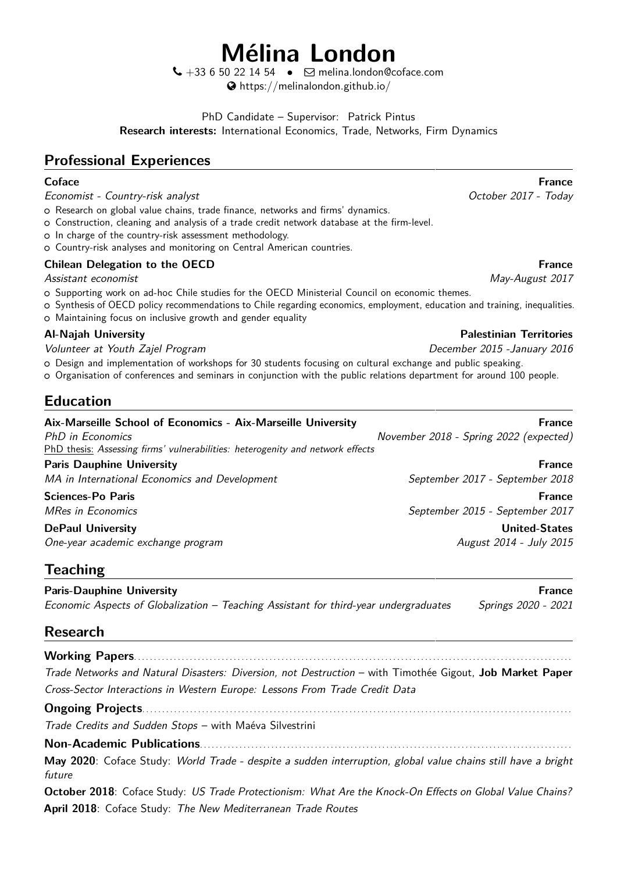# **Mélina London**

 $\bigcup$  +33 6 50 22 14 54 •  $\bigtriangledown$  [melina.london@coface.com](mailto:melina.london@coface.com) [https://melinalondon.github.io/](http://https://melinalondon.github.io/)

PhD Candidate – Supervisor: [Patrick Pintus](https://sites.google.com/site/patrickpintus/) **Research interests:** International Economics, Trade, Networks, Firm Dynamics

# **Professional Experiences**

Economist - Country-risk analyst **Exercise State Country-risk** analyst **Country-risk** analyst **Country-risk** analyst

- o Research on global value chains, trade finance, networks and firms' dynamics.
- o Construction, cleaning and analysis of a trade credit network database at the firm-level.
- o In charge of the country-risk assessment methodology.
- o Country-risk analyses and monitoring on Central American countries.

#### **Chilean Delegation to the OECD France France France France France France**

Assistant economist May-August 2017

- o Supporting work on ad-hoc Chile studies for the OECD Ministerial Council on economic themes.
- <sup>+</sup> Synthesis of OECD policy recommendations to Chile regarding economics, employment, education and training, inequalities.
- o Maintaining focus on inclusive growth and gender equality

Volunteer at Youth Zajel Program December 2015 -January 2016

 $\circ$  Design and implementation of workshops for 30 students focusing on cultural exchange and public speaking.

<sup>+</sup> Organisation of conferences and seminars in conjunction with the public relations department for around 100 people.

# **Education**

| Aix-Marseille School of Economics - Aix-Marseille University                   | <b>France</b>                          |
|--------------------------------------------------------------------------------|----------------------------------------|
| PhD in Economics                                                               | November 2018 - Spring 2022 (expected) |
| PhD thesis: Assessing firms' vulnerabilities: heterogenity and network effects |                                        |
| <b>Paris Dauphine University</b>                                               | <b>France</b>                          |
| MA in International Economics and Development                                  | September 2017 - September 2018        |
| <b>Sciences-Po Paris</b>                                                       | <b>France</b>                          |
| <b>MRes in Economics</b>                                                       | September 2015 - September 2017        |
| <b>DePaul University</b>                                                       | <b>United-States</b>                   |
| One-year academic exchange program                                             | August 2014 - July 2015                |

# **Teaching**

**Paris-Dauphine University France According to the Contract of Contract According Trance Prance According to the Contract Oriental According Trance Prance According to the Contract of Contract According to the Contract of** Economic Aspects of Globalization – Teaching Assistant for third-year undergraduates Springs 2020 - 2021

# **Research**

**Working Papers**. . . . . . . . . . . . . . . . . . . . . . . . . . . . . . . . . . . . . . . . . . . . . . . . . . . . . . . . . . . . . . . . . . . . . . . . . . . . . . . . . . . . . . . . . . . . . . . . . . . . . . . . . . . . . . [Trade Networks and Natural Disasters: Diversion, not Destruction](https://melinalondon.github.io/files/Gigout_London_JMP.pdf) – with [Timothée Gigout,](https://sites.google.com/view/timotheegigout) **Job Market Paper** [Cross-Sector Interactions in Western Europe: Lessons From Trade Credit Data](https://melinalondon.github.io/files/London_GCnetwork.pdf)

**Ongoing Projects**. . . . . . . . . . . . . . . . . . . . . . . . . . . . . . . . . . . . . . . . . . . . . . . . . . . . . . . . . . . . . . . . . . . . . . . . . . . . . . . . . . . . . . . . . . . . . . . . . . . . . . . . . . . .

Trade Credits and Sudden Stops – with Maéva Silvestrini

**Non-Academic Publications**. . . . . . . . . . . . . . . . . . . . . . . . . . . . . . . . . . . . . . . . . . . . . . . . . . . . . . . . . . . . . . . . . . . . . . . . . . . . . . . . . . . . . . . . . . . . . .

**May 2020**: Coface Study: World Trade - despite a sudden interruption, global value chains still have a bright future

**October 2018**: Coface Study: US Trade Protectionism: What Are the Knock-On Effects on Global Value Chains? **April 2018**: Coface Study: The New Mediterranean Trade Routes

**Coface France**

#### **Al-Najah University Palestinian Territories**